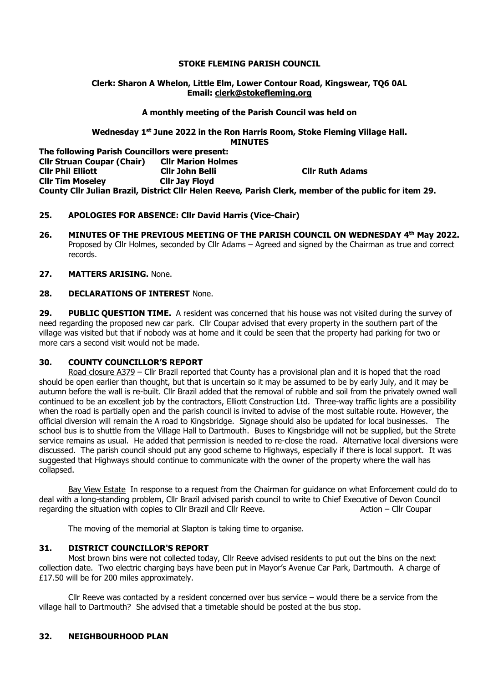## **STOKE FLEMING PARISH COUNCIL**

### **Clerk: Sharon A Whelon, Little Elm, Lower Contour Road, Kingswear, TQ6 0AL Email: clerk@stokefleming.org**

### **A monthly meeting of the Parish Council was held on**

#### **Wednesday 1 st June 2022 in the Ron Harris Room, Stoke Fleming Village Hall. MINUTES**

**The following Parish Councillors were present: Cllr Struan Coupar (Chair) Cllr Marion Holmes Cllr Phil Elliott Cllr John Belli Cllr Ruth Adams Cllr Tim Moseley Cllr Jay Floyd County Cllr Julian Brazil, District Cllr Helen Reeve, Parish Clerk, member of the public for item 29.**

## **25. APOLOGIES FOR ABSENCE: Cllr David Harris (Vice-Chair)**

**26. MINUTES OF THE PREVIOUS MEETING OF THE PARISH COUNCIL ON WEDNESDAY 4 th May 2022.** Proposed by Cllr Holmes, seconded by Cllr Adams – Agreed and signed by the Chairman as true and correct records.

## **27. MATTERS ARISING.** None.

## **28. DECLARATIONS OF INTEREST** None.

**29. PUBLIC QUESTION TIME.** A resident was concerned that his house was not visited during the survey of need regarding the proposed new car park. Cllr Coupar advised that every property in the southern part of the village was visited but that if nobody was at home and it could be seen that the property had parking for two or more cars a second visit would not be made.

## **30. COUNTY COUNCILLOR'S REPORT**

Road closure A379 - Cllr Brazil reported that County has a provisional plan and it is hoped that the road should be open earlier than thought, but that is uncertain so it may be assumed to be by early July, and it may be autumn before the wall is re-built. Cllr Brazil added that the removal of rubble and soil from the privately owned wall continued to be an excellent job by the contractors, Elliott Construction Ltd. Three-way traffic lights are a possibility when the road is partially open and the parish council is invited to advise of the most suitable route. However, the official diversion will remain the A road to Kingsbridge. Signage should also be updated for local businesses. The school bus is to shuttle from the Village Hall to Dartmouth. Buses to Kingsbridge will not be supplied, but the Strete service remains as usual. He added that permission is needed to re-close the road. Alternative local diversions were discussed. The parish council should put any good scheme to Highways, especially if there is local support. It was suggested that Highways should continue to communicate with the owner of the property where the wall has collapsed.

Bay View EstateIn response to a request from the Chairman for guidance on what Enforcement could do to deal with a long-standing problem, Cllr Brazil advised parish council to write to Chief Executive of Devon Council regarding the situation with copies to Cllr Brazil and Cllr Reeve. Action – Cllr Coupar

The moving of the memorial at Slapton is taking time to organise.

## **31. DISTRICT COUNCILLOR'S REPORT**

Most brown bins were not collected today, Cllr Reeve advised residents to put out the bins on the next collection date. Two electric charging bays have been put in Mayor's Avenue Car Park, Dartmouth. A charge of £17.50 will be for 200 miles approximately.

Cllr Reeve was contacted by a resident concerned over bus service – would there be a service from the village hall to Dartmouth? She advised that a timetable should be posted at the bus stop.

## **32. NEIGHBOURHOOD PLAN**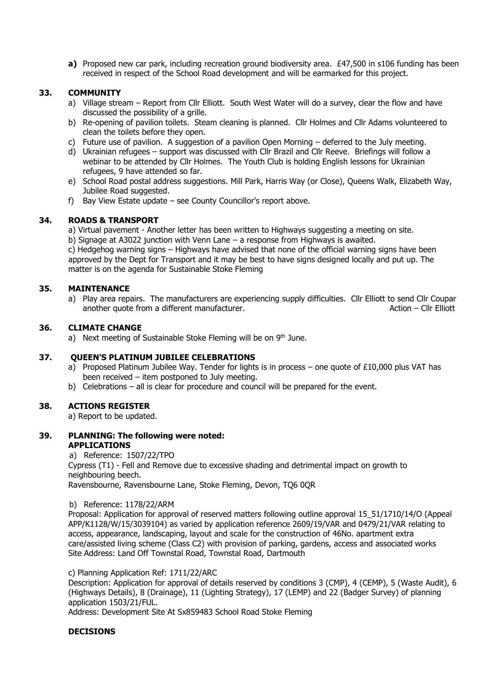**a)** Proposed new car park, including recreation ground biodiversity area. £47,500 in s106 funding has been received in respect of the School Road development and will be earmarked for this project.

## **33. COMMUNITY**

- a) Village stream Report from Cllr Elliott. South West Water will do a survey, clear the flow and have discussed the possibility of a grille.
- b) Re-opening of pavilion toilets. Steam cleaning is planned. Cllr Holmes and Cllr Adams volunteered to clean the toilets before they open.
- c) Future use of pavilion. A suggestion of a pavilion Open Morning deferred to the July meeting.
- d) Ukrainian refugees support was discussed with Cllr Brazil and Cllr Reeve. Briefings will follow a webinar to be attended by Cllr Holmes. The Youth Club is holding English lessons for Ukrainian refugees, 9 have attended so far.
- e) School Road postal address suggestions. Mill Park, Harris Way (or Close), Queens Walk, Elizabeth Way, Jubilee Road suggested.
- f) Bay View Estate update see County Councillor's report above.

## **34. ROADS & TRANSPORT**

a) Virtual pavement - Another letter has been written to Highways suggesting a meeting on site.

b) Signage at A3022 junction with Venn Lane – a response from Highways is awaited.

c) Hedgehog warning signs – Highways have advised that none of the official warning signs have been approved by the Dept for Transport and it may be best to have signs designed locally and put up. The matter is on the agenda for Sustainable Stoke Fleming

## **35. MAINTENANCE**

a) Play area repairs. The manufacturers are experiencing supply difficulties. Cllr Elliott to send Cllr Coupar another quote from a different manufacturer. Action – Clir Elliott – Clir Elliott

### **36. CLIMATE CHANGE**

a) Next meeting of Sustainable Stoke Fleming will be on  $9<sup>th</sup>$  June.

## **37. QUEEN'S PLATINUM JUBILEE CELEBRATIONS**

- a) Proposed Platinum Jubilee Way. Tender for lights is in process one quote of £10,000 plus VAT has been received – item postponed to July meeting.
- b) Celebrations all is clear for procedure and council will be prepared for the event.

## **38. ACTIONS REGISTER**

a) Report to be updated.

## **39. PLANNING: The following were noted: APPLICATIONS**

a) Reference: 1507/22/TPO Cypress (T1) - Fell and Remove due to excessive shading and detrimental impact on growth to neighbouring beech. Ravensbourne, Ravensbourne Lane, Stoke Fleming, Devon, TQ6 0QR

#### b) Reference: 1178/22/ARM

Proposal: Application for approval of reserved matters following outline approval 15\_51/1710/14/O (Appeal APP/K1128/W/15/3039104) as varied by application reference 2609/19/VAR and 0479/21/VAR relating to access, appearance, landscaping, layout and scale for the construction of 46No. apartment extra care/assisted living scheme (Class C2) with provision of parking, gardens, access and associated works Site Address: Land Off Townstal Road, Townstal Road, Dartmouth

#### c) Planning Application Ref: 1711/22/ARC

Description: Application for approval of details reserved by conditions 3 (CMP), 4 (CEMP), 5 (Waste Audit), 6 (Highways Details), 8 (Drainage), 11 (Lighting Strategy), 17 (LEMP) and 22 (Badger Survey) of planning application 1503/21/FUL.

Address: Development Site At Sx859483 School Road Stoke Fleming

## **DECISIONS**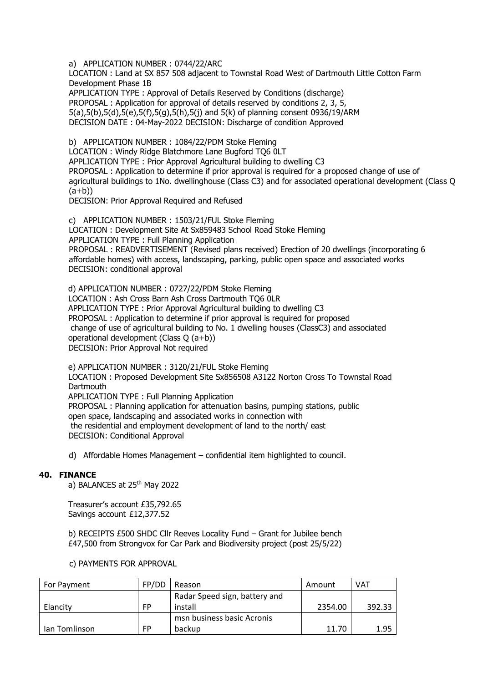a) APPLICATION NUMBER : 0744/22/ARC

LOCATION : Land at SX 857 508 adjacent to Townstal Road West of Dartmouth Little Cotton Farm Development Phase 1B

APPLICATION TYPE : Approval of Details Reserved by Conditions (discharge) PROPOSAL : Application for approval of details reserved by conditions 2, 3, 5, 5(a),5(b),5(d),5(e),5(f),5(g),5(h),5(j) and 5(k) of planning consent 0936/19/ARM DECISION DATE : 04-May-2022 DECISION: Discharge of condition Approved

b) APPLICATION NUMBER : 1084/22/PDM Stoke Fleming

LOCATION : Windy Ridge Blatchmore Lane Bugford TQ6 0LT APPLICATION TYPE : Prior Approval Agricultural building to dwelling C3 PROPOSAL : Application to determine if prior approval is required for a proposed change of use of agricultural buildings to 1No. dwellinghouse (Class C3) and for associated operational development (Class Q  $(a+b)$ 

DECISION: Prior Approval Required and Refused

c) APPLICATION NUMBER : 1503/21/FUL Stoke Fleming LOCATION : Development Site At Sx859483 School Road Stoke Fleming APPLICATION TYPE : Full Planning Application PROPOSAL : READVERTISEMENT (Revised plans received) Erection of 20 dwellings (incorporating 6 affordable homes) with access, landscaping, parking, public open space and associated works DECISION: conditional approval

d) APPLICATION NUMBER : 0727/22/PDM Stoke Fleming LOCATION : Ash Cross Barn Ash Cross Dartmouth TQ6 0LR APPLICATION TYPE : Prior Approval Agricultural building to dwelling C3 PROPOSAL : Application to determine if prior approval is required for proposed change of use of agricultural building to No. 1 dwelling houses (ClassC3) and associated operational development (Class Q (a+b)) DECISION: Prior Approval Not required

e) APPLICATION NUMBER : 3120/21/FUL Stoke Fleming LOCATION : Proposed Development Site Sx856508 A3122 Norton Cross To Townstal Road **Dartmouth** APPLICATION TYPE : Full Planning Application PROPOSAL : Planning application for attenuation basins, pumping stations, public open space, landscaping and associated works in connection with the residential and employment development of land to the north/ east DECISION: Conditional Approval

d) Affordable Homes Management – confidential item highlighted to council.

## **40. FINANCE**

a) BALANCES at 25<sup>th</sup> May 2022

Treasurer's account £35,792.65 Savings account £12,377.52

c) PAYMENTS FOR APPROVAL

b) RECEIPTS £500 SHDC Cllr Reeves Locality Fund – Grant for Jubilee bench £47,500 from Strongvox for Car Park and Biodiversity project (post 25/5/22)

| For Payment   | FP/DD     | Reason                        | Amount  | <b>VAT</b> |
|---------------|-----------|-------------------------------|---------|------------|
|               |           | Radar Speed sign, battery and |         |            |
| Elancity      | FP        | install                       | 2354.00 | 392.33     |
|               |           | msn business basic Acronis    |         |            |
| lan Tomlinson | <b>FP</b> | backup                        | 11.70   | 1.95       |